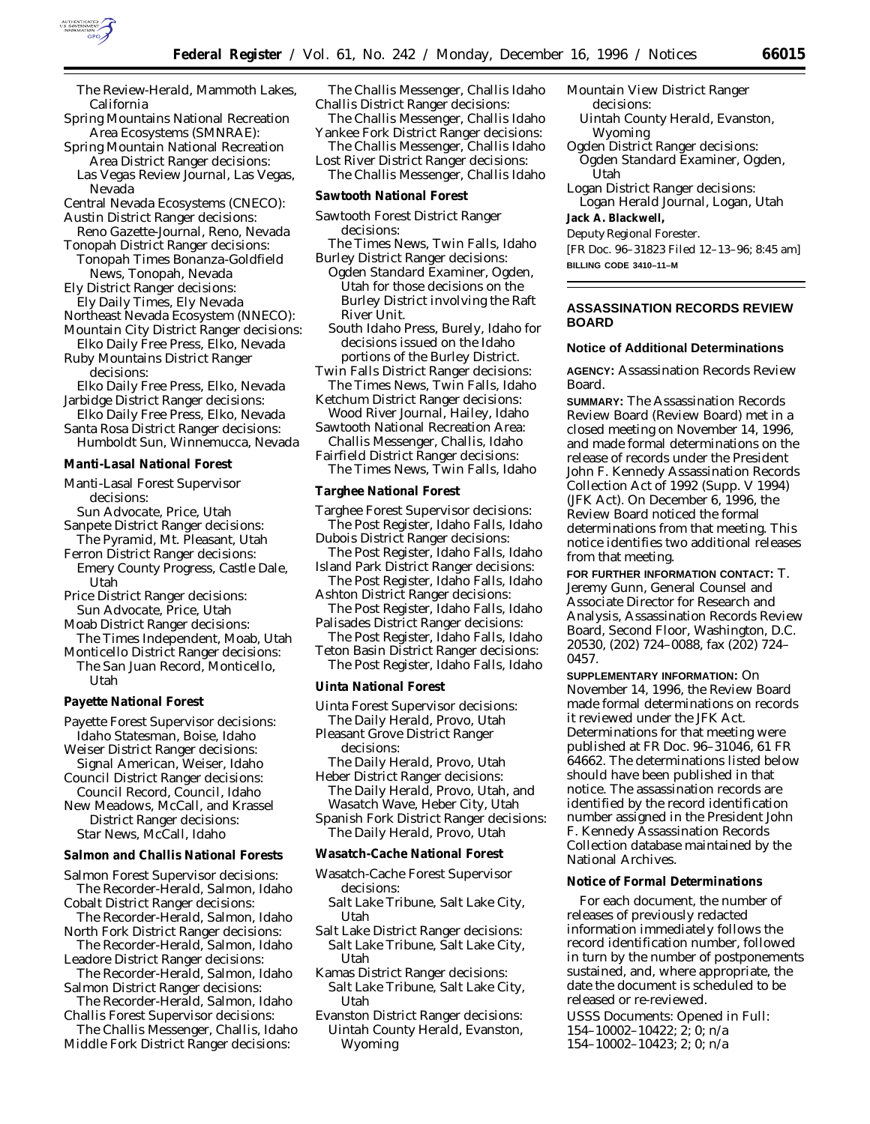

- *The Review-Herald,* Mammoth Lakes, California
- Spring Mountains National Recreation Area Ecosystems (SMNRAE):
- Spring Mountain National Recreation Area District Ranger decisions: *Las Vegas Review Journal,* Las Vegas,
- Nevada
- Central Nevada Ecosystems (CNECO):
- Austin District Ranger decisions:
- *Reno Gazette-Journal,* Reno, Nevada Tonopah District Ranger decisions:
- *Tonopah Times Bonanza-Goldfield News,* Tonopah, Nevada Ely District Ranger decisions:
- *Ely Daily Times,* Ely Nevada Northeast Nevada Ecosystem (NNECO):
- Mountain City District Ranger decisions:
- *Elko Daily Free Press,* Elko, Nevada Ruby Mountains District Ranger

decisions:

- *Elko Daily Free Press,* Elko, Nevada Jarbidge District Ranger decisions:
- *Elko Daily Free Press,* Elko, Nevada Santa Rosa District Ranger decisions: *Humboldt Sun,* Winnemucca, Nevada
- **Manti-Lasal National Forest**
- Manti-Lasal Forest Supervisor decisions:
- *Sun Advocate,* Price, Utah Sanpete District Ranger decisions:
- *The Pyramid,* Mt. Pleasant, Utah
- Ferron District Ranger decisions: *Emery County Progress,* Castle Dale, Utah
- Price District Ranger decisions: *Sun Advocate,* Price, Utah
- Moab District Ranger decisions: *The Times Independent,* Moab, Utah
- Monticello District Ranger decisions: *The San Juan Record,* Monticello,
- Utah
- **Payette National Forest**
- Payette Forest Supervisor decisions: *Idaho Statesman,* Boise, Idaho
- Weiser District Ranger decisions: *Signal American,* Weiser, Idaho
- Council District Ranger decisions: *Council Record,* Council, Idaho
- New Meadows, McCall, and Krassel District Ranger decisions: *Star News,* McCall, Idaho

**Salmon and Challis National Forests**

- Salmon Forest Supervisor decisions: *The Recorder-Herald,* Salmon, Idaho
- Cobalt District Ranger decisions: *The Recorder-Herald,* Salmon, Idaho
- North Fork District Ranger decisions:
- *The Recorder-Herald,* Salmon, Idaho Leadore District Ranger decisions:
- *The Recorder-Herald,* Salmon, Idaho Salmon District Ranger decisions:
- *The Recorder-Herald,* Salmon, Idaho Challis Forest Supervisor decisions:
- *The Challis Messenger,* Challis, Idaho Middle Fork District Ranger decisions:
- *The Challis Messenger,* Challis Idaho Challis District Ranger decisions:
- *The Challis Messenger,* Challis Idaho Yankee Fork District Ranger decisions:
- *The Challis Messenger,* Challis Idaho Lost River District Ranger decisions:
- *The Challis Messenger,* Challis Idaho
- **Sawtooth National Forest**
- Sawtooth Forest District Ranger decisions:
- *The Times News,* Twin Falls, Idaho Burley District Ranger decisions:
- *Ogden Standard Examiner,* Ogden, Utah for those decisions on the Burley District involving the Raft River Unit.
- *South Idaho Press,* Burely, Idaho for decisions issued on the Idaho portions of the Burley District.
- Twin Falls District Ranger decisions: *The Times News,* Twin Falls, Idaho
- Ketchum District Ranger decisions: *Wood River Journal,* Hailey, Idaho
- Sawtooth National Recreation Area: *Challis Messenger,* Challis, Idaho
- Fairfield District Ranger decisions: *The Times News,* Twin Falls, Idaho

**Targhee National Forest**

- Targhee Forest Supervisor decisions: *The Post Register,* Idaho Falls, Idaho
- Dubois District Ranger decisions: *The Post Register,* Idaho Falls, Idaho
- Island Park District Ranger decisions: *The Post Register,* Idaho Falls, Idaho
- Ashton District Ranger decisions: *The Post Register,* Idaho Falls, Idaho
- Palisades District Ranger decisions: *The Post Register,* Idaho Falls, Idaho
- Teton Basin District Ranger decisions: *The Post Register,* Idaho Falls, Idaho
- **Uinta National Forest**
- Uinta Forest Supervisor decisions:
- *The Daily Herald,* Provo, Utah Pleasant Grove District Ranger
	- decisions:
- *The Daily Herald,* Provo, Utah Heber District Ranger decisions:
- *The Daily Herald,* Provo, Utah, and *Wasatch Wave,* Heber City, Utah Spanish Fork District Ranger decisions:
- *The Daily Herald,* Provo, Utah
- **Wasatch-Cache National Forest**
- Wasatch-Cache Forest Supervisor decisions:
- *Salt Lake Tribune,* Salt Lake City, Utah
- Salt Lake District Ranger decisions: *Salt Lake Tribune,* Salt Lake City, Utah
- Kamas District Ranger decisions: *Salt Lake Tribune,* Salt Lake City, Utah
- Evanston District Ranger decisions: *Uintah County Herald,* Evanston, Wyoming

Mountain View District Ranger decisions:

- *Uintah County Herald,* Evanston, Wyoming
- Ogden District Ranger decisions:
	- *Ogden Standard Examiner,* Ogden, Utah

Logan District Ranger decisions: *Logan Herald Journal,* Logan, Utah

**Jack A. Blackwell,**

*Deputy Regional Forester.*

[FR Doc. 96–31823 Filed 12–13–96; 8:45 am]

**BILLING CODE 3410–11–M**

### **ASSASSINATION RECORDS REVIEW BOARD**

### **Notice of Additional Determinations**

**AGENCY:** Assassination Records Review Board.

**SUMMARY:** The Assassination Records Review Board (Review Board) met in a closed meeting on November 14, 1996, and made formal determinations on the release of records under the President John F. Kennedy Assassination Records Collection Act of 1992 (Supp. V 1994) (JFK Act). On December 6, 1996, the Review Board noticed the formal determinations from that meeting. This notice identifies two additional releases from that meeting.

**FOR FURTHER INFORMATION CONTACT:** T. Jeremy Gunn, General Counsel and Associate Director for Research and Analysis, Assassination Records Review Board, Second Floor, Washington, D.C. 20530, (202) 724–0088, fax (202) 724– 0457.

**SUPPLEMENTARY INFORMATION:** On November 14, 1996, the Review Board made formal determinations on records it reviewed under the JFK Act. Determinations for that meeting were published at FR Doc. 96–31046, 61 FR 64662. The determinations listed below should have been published in that notice. The assassination records are identified by the record identification number assigned in the President John F. Kennedy Assassination Records Collection database maintained by the National Archives.

#### **Notice of Formal Determinations**

For each document, the number of releases of previously redacted information immediately follows the record identification number, followed in turn by the number of postponements sustained, and, where appropriate, the date the document is scheduled to be released or re-reviewed.

USSS Documents: Opened in Full: 154–10002–10422; 2; 0; n/a

154–10002–10423; 2; 0; n/a